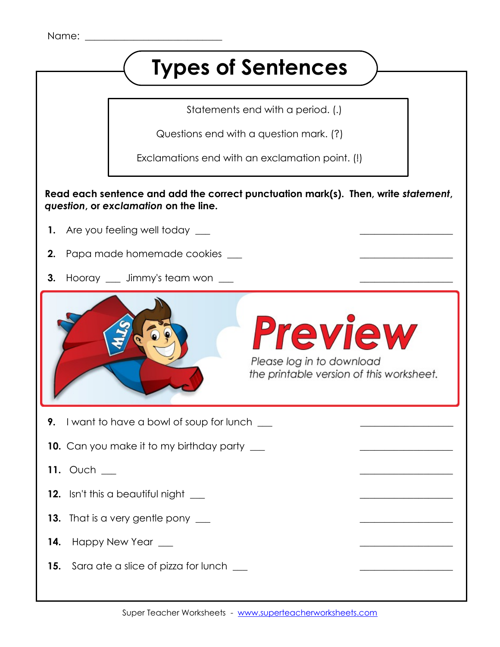## **Types of Sentences**

Statements end with a period. (.)

Questions end with a question mark. (?)

Exclamations end with an exclamation point. (!)

 **Read each sentence and add the correct punctuation mark(s). Then, write** *statement***,** *question***, or** *exclamation* **on the line.** 

- **1.** Are you feeling well today \_\_\_\_\_
- **2.** Papa made homemade cookies \_\_\_ \_\_\_\_\_\_\_\_\_\_\_\_\_\_\_\_\_\_\_
- **3.** Hooray <u>equel</u> Jimmy's team won <u>super</u>



Please log in to download the printable version of this worksheet.

**9.** I want to have a bowl of soup for lunch  $\qquad$ 

- **10.** Can you make it to my birthday party \_\_\_ \_\_\_\_\_\_\_\_\_\_\_\_\_\_\_\_\_\_\_
- **11.** Ouch
- **12.** Isn't this a beautiful night \_\_\_ \_\_\_\_\_\_\_\_\_\_\_\_\_\_\_\_\_\_\_
- **13.** That is a very gentle pony \_\_\_\_\_\_
- **14.** Happy New Year \_\_\_\_\_
- **15.** Sara ate a slice of pizza for lunch \_\_\_ \_\_\_\_\_\_\_\_\_\_\_\_\_\_\_\_\_\_\_